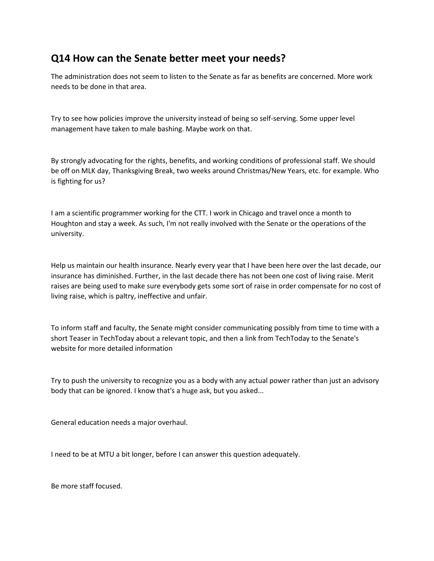## **Q14 How can the Senate better meet your needs?**

The administration does not seem to listen to the Senate as far as benefits are concerned. More work needs to be done in that area.

Try to see how policies improve the university instead of being so self-serving. Some upper level management have taken to male bashing. Maybe work on that.

By strongly advocating for the rights, benefits, and working conditions of professional staff. We should be off on MLK day, Thanksgiving Break, two weeks around Christmas/New Years, etc. for example. Who is fighting for us?

I am a scientific programmer working for the CTT. I work in Chicago and travel once a month to Houghton and stay a week. As such, I'm not really involved with the Senate or the operations of the university.

Help us maintain our health insurance. Nearly every year that I have been here over the last decade, our insurance has diminished. Further, in the last decade there has not been one cost of living raise. Merit raises are being used to make sure everybody gets some sort of raise in order compensate for no cost of living raise, which is paltry, ineffective and unfair.

To inform staff and faculty, the Senate might consider communicating possibly from time to time with a short Teaser in TechToday about a relevant topic, and then a link from TechToday to the Senate's website for more detailed information

Try to push the university to recognize you as a body with any actual power rather than just an advisory body that can be ignored. I know that's a huge ask, but you asked...

General education needs a major overhaul.

I need to be at MTU a bit longer, before I can answer this question adequately.

Be more staff focused.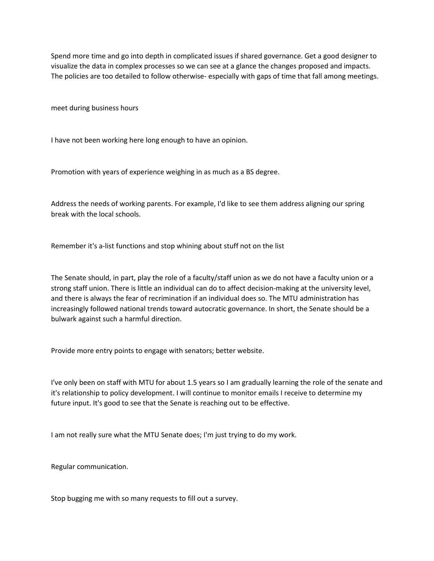Spend more time and go into depth in complicated issues if shared governance. Get a good designer to visualize the data in complex processes so we can see at a glance the changes proposed and impacts. The policies are too detailed to follow otherwise- especially with gaps of time that fall among meetings.

meet during business hours

I have not been working here long enough to have an opinion.

Promotion with years of experience weighing in as much as a BS degree.

Address the needs of working parents. For example, I'd like to see them address aligning our spring break with the local schools.

Remember it's a-list functions and stop whining about stuff not on the list

The Senate should, in part, play the role of a faculty/staff union as we do not have a faculty union or a strong staff union. There is little an individual can do to affect decision-making at the university level, and there is always the fear of recrimination if an individual does so. The MTU administration has increasingly followed national trends toward autocratic governance. In short, the Senate should be a bulwark against such a harmful direction.

Provide more entry points to engage with senators; better website.

I've only been on staff with MTU for about 1.5 years so I am gradually learning the role of the senate and it's relationship to policy development. I will continue to monitor emails I receive to determine my future input. It's good to see that the Senate is reaching out to be effective.

I am not really sure what the MTU Senate does; I'm just trying to do my work.

Regular communication.

Stop bugging me with so many requests to fill out a survey.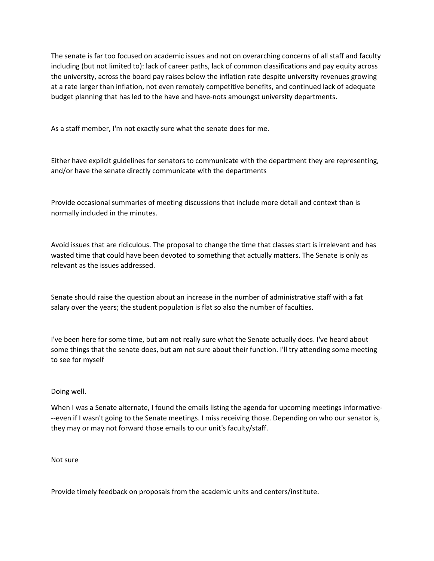The senate is far too focused on academic issues and not on overarching concerns of all staff and faculty including (but not limited to): lack of career paths, lack of common classifications and pay equity across the university, across the board pay raises below the inflation rate despite university revenues growing at a rate larger than inflation, not even remotely competitive benefits, and continued lack of adequate budget planning that has led to the have and have-nots amoungst university departments.

As a staff member, I'm not exactly sure what the senate does for me.

Either have explicit guidelines for senators to communicate with the department they are representing, and/or have the senate directly communicate with the departments

Provide occasional summaries of meeting discussions that include more detail and context than is normally included in the minutes.

Avoid issues that are ridiculous. The proposal to change the time that classes start is irrelevant and has wasted time that could have been devoted to something that actually matters. The Senate is only as relevant as the issues addressed.

Senate should raise the question about an increase in the number of administrative staff with a fat salary over the years; the student population is flat so also the number of faculties.

I've been here for some time, but am not really sure what the Senate actually does. I've heard about some things that the senate does, but am not sure about their function. I'll try attending some meeting to see for myself

## Doing well.

When I was a Senate alternate, I found the emails listing the agenda for upcoming meetings informative- --even if I wasn't going to the Senate meetings. I miss receiving those. Depending on who our senator is, they may or may not forward those emails to our unit's faculty/staff.

Not sure

Provide timely feedback on proposals from the academic units and centers/institute.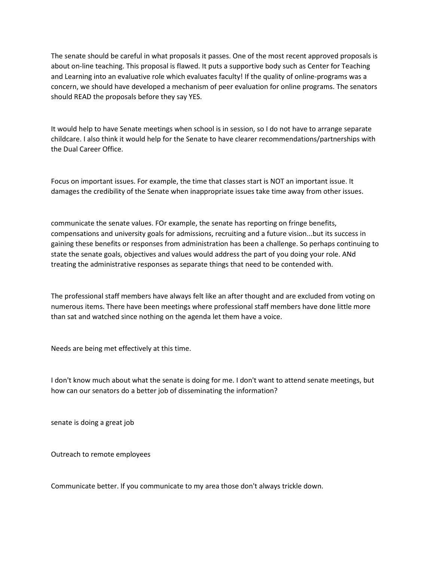The senate should be careful in what proposals it passes. One of the most recent approved proposals is about on-line teaching. This proposal is flawed. It puts a supportive body such as Center for Teaching and Learning into an evaluative role which evaluates faculty! If the quality of online-programs was a concern, we should have developed a mechanism of peer evaluation for online programs. The senators should READ the proposals before they say YES.

It would help to have Senate meetings when school is in session, so I do not have to arrange separate childcare. I also think it would help for the Senate to have clearer recommendations/partnerships with the Dual Career Office.

Focus on important issues. For example, the time that classes start is NOT an important issue. It damages the credibility of the Senate when inappropriate issues take time away from other issues.

communicate the senate values. FOr example, the senate has reporting on fringe benefits, compensations and university goals for admissions, recruiting and a future vision...but its success in gaining these benefits or responses from administration has been a challenge. So perhaps continuing to state the senate goals, objectives and values would address the part of you doing your role. ANd treating the administrative responses as separate things that need to be contended with.

The professional staff members have always felt like an after thought and are excluded from voting on numerous items. There have been meetings where professional staff members have done little more than sat and watched since nothing on the agenda let them have a voice.

Needs are being met effectively at this time.

I don't know much about what the senate is doing for me. I don't want to attend senate meetings, but how can our senators do a better job of disseminating the information?

senate is doing a great job

Outreach to remote employees

Communicate better. If you communicate to my area those don't always trickle down.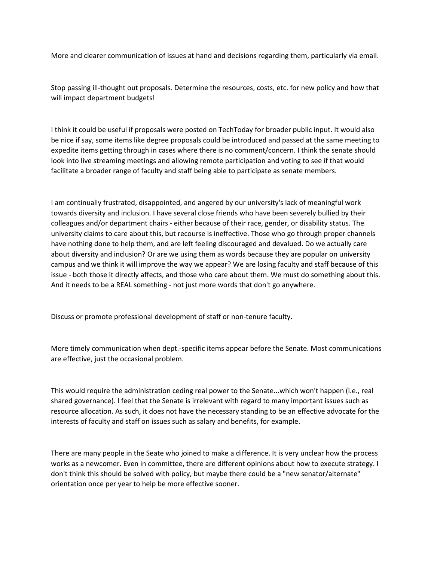More and clearer communication of issues at hand and decisions regarding them, particularly via email.

Stop passing ill-thought out proposals. Determine the resources, costs, etc. for new policy and how that will impact department budgets!

I think it could be useful if proposals were posted on TechToday for broader public input. It would also be nice if say, some items like degree proposals could be introduced and passed at the same meeting to expedite items getting through in cases where there is no comment/concern. I think the senate should look into live streaming meetings and allowing remote participation and voting to see if that would facilitate a broader range of faculty and staff being able to participate as senate members.

I am continually frustrated, disappointed, and angered by our university's lack of meaningful work towards diversity and inclusion. I have several close friends who have been severely bullied by their colleagues and/or department chairs - either because of their race, gender, or disability status. The university claims to care about this, but recourse is ineffective. Those who go through proper channels have nothing done to help them, and are left feeling discouraged and devalued. Do we actually care about diversity and inclusion? Or are we using them as words because they are popular on university campus and we think it will improve the way we appear? We are losing faculty and staff because of this issue - both those it directly affects, and those who care about them. We must do something about this. And it needs to be a REAL something - not just more words that don't go anywhere.

Discuss or promote professional development of staff or non-tenure faculty.

More timely communication when dept.-specific items appear before the Senate. Most communications are effective, just the occasional problem.

This would require the administration ceding real power to the Senate...which won't happen (i.e., real shared governance). I feel that the Senate is irrelevant with regard to many important issues such as resource allocation. As such, it does not have the necessary standing to be an effective advocate for the interests of faculty and staff on issues such as salary and benefits, for example.

There are many people in the Seate who joined to make a difference. It is very unclear how the process works as a newcomer. Even in committee, there are different opinions about how to execute strategy. I don't think this should be solved with policy, but maybe there could be a "new senator/alternate" orientation once per year to help be more effective sooner.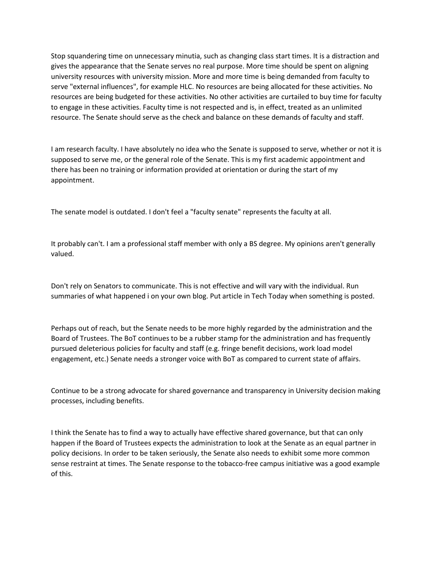Stop squandering time on unnecessary minutia, such as changing class start times. It is a distraction and gives the appearance that the Senate serves no real purpose. More time should be spent on aligning university resources with university mission. More and more time is being demanded from faculty to serve "external influences", for example HLC. No resources are being allocated for these activities. No resources are being budgeted for these activities. No other activities are curtailed to buy time for faculty to engage in these activities. Faculty time is not respected and is, in effect, treated as an unlimited resource. The Senate should serve as the check and balance on these demands of faculty and staff.

I am research faculty. I have absolutely no idea who the Senate is supposed to serve, whether or not it is supposed to serve me, or the general role of the Senate. This is my first academic appointment and there has been no training or information provided at orientation or during the start of my appointment.

The senate model is outdated. I don't feel a "faculty senate" represents the faculty at all.

It probably can't. I am a professional staff member with only a BS degree. My opinions aren't generally valued.

Don't rely on Senators to communicate. This is not effective and will vary with the individual. Run summaries of what happened i on your own blog. Put article in Tech Today when something is posted.

Perhaps out of reach, but the Senate needs to be more highly regarded by the administration and the Board of Trustees. The BoT continues to be a rubber stamp for the administration and has frequently pursued deleterious policies for faculty and staff (e.g. fringe benefit decisions, work load model engagement, etc.) Senate needs a stronger voice with BoT as compared to current state of affairs.

Continue to be a strong advocate for shared governance and transparency in University decision making processes, including benefits.

I think the Senate has to find a way to actually have effective shared governance, but that can only happen if the Board of Trustees expects the administration to look at the Senate as an equal partner in policy decisions. In order to be taken seriously, the Senate also needs to exhibit some more common sense restraint at times. The Senate response to the tobacco-free campus initiative was a good example of this.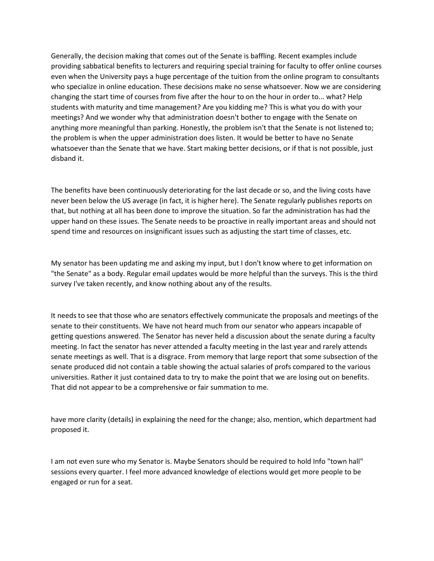Generally, the decision making that comes out of the Senate is baffling. Recent examples include providing sabbatical benefits to lecturers and requiring special training for faculty to offer online courses even when the University pays a huge percentage of the tuition from the online program to consultants who specialize in online education. These decisions make no sense whatsoever. Now we are considering changing the start time of courses from five after the hour to on the hour in order to... what? Help students with maturity and time management? Are you kidding me? This is what you do with your meetings? And we wonder why that administration doesn't bother to engage with the Senate on anything more meaningful than parking. Honestly, the problem isn't that the Senate is not listened to; the problem is when the upper administration does listen. It would be better to have no Senate whatsoever than the Senate that we have. Start making better decisions, or if that is not possible, just disband it.

The benefits have been continuously deteriorating for the last decade or so, and the living costs have never been below the US average (in fact, it is higher here). The Senate regularly publishes reports on that, but nothing at all has been done to improve the situation. So far the administration has had the upper hand on these issues. The Senate needs to be proactive in really important areas and should not spend time and resources on insignificant issues such as adjusting the start time of classes, etc.

My senator has been updating me and asking my input, but I don't know where to get information on "the Senate" as a body. Regular email updates would be more helpful than the surveys. This is the third survey I've taken recently, and know nothing about any of the results.

It needs to see that those who are senators effectively communicate the proposals and meetings of the senate to their constituents. We have not heard much from our senator who appears incapable of getting questions answered. The Senator has never held a discussion about the senate during a faculty meeting. In fact the senator has never attended a faculty meeting in the last year and rarely attends senate meetings as well. That is a disgrace. From memory that large report that some subsection of the senate produced did not contain a table showing the actual salaries of profs compared to the various universities. Rather it just contained data to try to make the point that we are losing out on benefits. That did not appear to be a comprehensive or fair summation to me.

have more clarity (details) in explaining the need for the change; also, mention, which department had proposed it.

I am not even sure who my Senator is. Maybe Senators should be required to hold Info "town hall" sessions every quarter. I feel more advanced knowledge of elections would get more people to be engaged or run for a seat.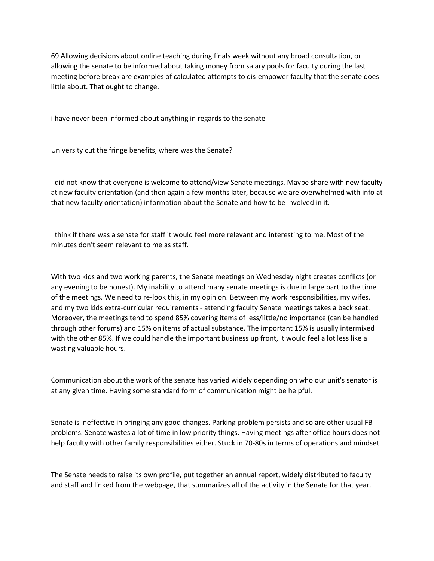69 Allowing decisions about online teaching during finals week without any broad consultation, or allowing the senate to be informed about taking money from salary pools for faculty during the last meeting before break are examples of calculated attempts to dis-empower faculty that the senate does little about. That ought to change.

i have never been informed about anything in regards to the senate

University cut the fringe benefits, where was the Senate?

I did not know that everyone is welcome to attend/view Senate meetings. Maybe share with new faculty at new faculty orientation (and then again a few months later, because we are overwhelmed with info at that new faculty orientation) information about the Senate and how to be involved in it.

I think if there was a senate for staff it would feel more relevant and interesting to me. Most of the minutes don't seem relevant to me as staff.

With two kids and two working parents, the Senate meetings on Wednesday night creates conflicts (or any evening to be honest). My inability to attend many senate meetings is due in large part to the time of the meetings. We need to re-look this, in my opinion. Between my work responsibilities, my wifes, and my two kids extra-curricular requirements - attending faculty Senate meetings takes a back seat. Moreover, the meetings tend to spend 85% covering items of less/little/no importance (can be handled through other forums) and 15% on items of actual substance. The important 15% is usually intermixed with the other 85%. If we could handle the important business up front, it would feel a lot less like a wasting valuable hours.

Communication about the work of the senate has varied widely depending on who our unit's senator is at any given time. Having some standard form of communication might be helpful.

Senate is ineffective in bringing any good changes. Parking problem persists and so are other usual FB problems. Senate wastes a lot of time in low priority things. Having meetings after office hours does not help faculty with other family responsibilities either. Stuck in 70-80s in terms of operations and mindset.

The Senate needs to raise its own profile, put together an annual report, widely distributed to faculty and staff and linked from the webpage, that summarizes all of the activity in the Senate for that year.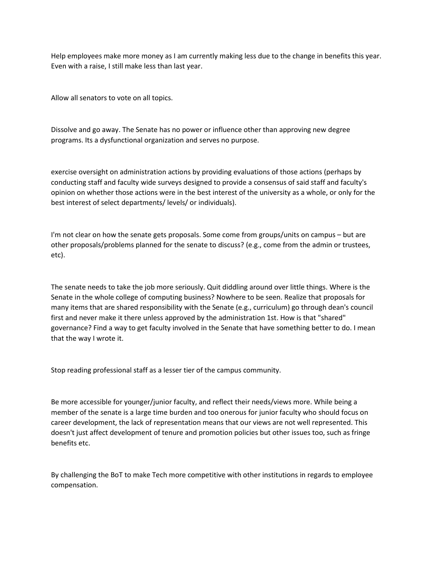Help employees make more money as I am currently making less due to the change in benefits this year. Even with a raise, I still make less than last year.

Allow all senators to vote on all topics.

Dissolve and go away. The Senate has no power or influence other than approving new degree programs. Its a dysfunctional organization and serves no purpose.

exercise oversight on administration actions by providing evaluations of those actions (perhaps by conducting staff and faculty wide surveys designed to provide a consensus of said staff and faculty's opinion on whether those actions were in the best interest of the university as a whole, or only for the best interest of select departments/ levels/ or individuals).

I'm not clear on how the senate gets proposals. Some come from groups/units on campus – but are other proposals/problems planned for the senate to discuss? (e.g., come from the admin or trustees, etc).

The senate needs to take the job more seriously. Quit diddling around over little things. Where is the Senate in the whole college of computing business? Nowhere to be seen. Realize that proposals for many items that are shared responsibility with the Senate (e.g., curriculum) go through dean's council first and never make it there unless approved by the administration 1st. How is that "shared" governance? Find a way to get faculty involved in the Senate that have something better to do. I mean that the way I wrote it.

Stop reading professional staff as a lesser tier of the campus community.

Be more accessible for younger/junior faculty, and reflect their needs/views more. While being a member of the senate is a large time burden and too onerous for junior faculty who should focus on career development, the lack of representation means that our views are not well represented. This doesn't just affect development of tenure and promotion policies but other issues too, such as fringe benefits etc.

By challenging the BoT to make Tech more competitive with other institutions in regards to employee compensation.